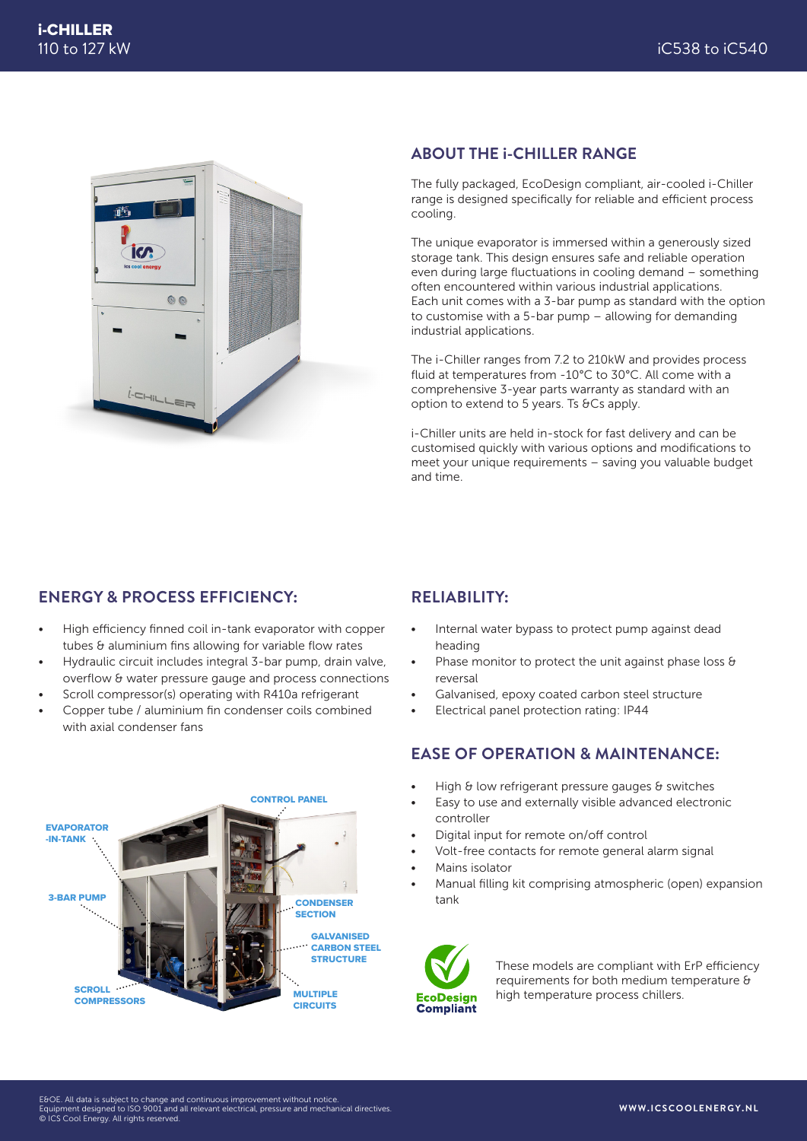

#### **ABOUT THE i-CHILLER RANGE**

The fully packaged, EcoDesign compliant, air-cooled i-Chiller range is designed specifically for reliable and efficient process cooling.

The unique evaporator is immersed within a generously sized storage tank. This design ensures safe and reliable operation even during large fluctuations in cooling demand – something often encountered within various industrial applications. Each unit comes with a 3-bar pump as standard with the option to customise with a 5-bar pump – allowing for demanding industrial applications.

The i-Chiller ranges from 7.2 to 210kW and provides process fluid at temperatures from -10°C to 30°C. All come with a comprehensive 3-year parts warranty as standard with an option to extend to 5 years. Ts &Cs apply.

i-Chiller units are held in-stock for fast delivery and can be customised quickly with various options and modifications to meet your unique requirements – saving you valuable budget and time.

## **ENERGY & PROCESS EFFICIENCY:**

- High efficiency finned coil in-tank evaporator with copper tubes & aluminium fins allowing for variable flow rates
- Hydraulic circuit includes integral 3-bar pump, drain valve, overflow & water pressure gauge and process connections
- Scroll compressor(s) operating with R410a refrigerant
- Copper tube / aluminium fin condenser coils combined with axial condenser fans



## **RELIABILITY:**

- Internal water bypass to protect pump against dead heading
- Phase monitor to protect the unit against phase loss & reversal
- Galvanised, epoxy coated carbon steel structure
- Electrical panel protection rating: IP44

### **EASE OF OPERATION & MAINTENANCE:**

- High & low refrigerant pressure gauges & switches
- Easy to use and externally visible advanced electronic controller
- Digital input for remote on/off control
- Volt-free contacts for remote general alarm signal
- Mains isolator
- Manual filling kit comprising atmospheric (open) expansion tank



These models are compliant with ErP efficiency requirements for both medium temperature & high temperature process chillers.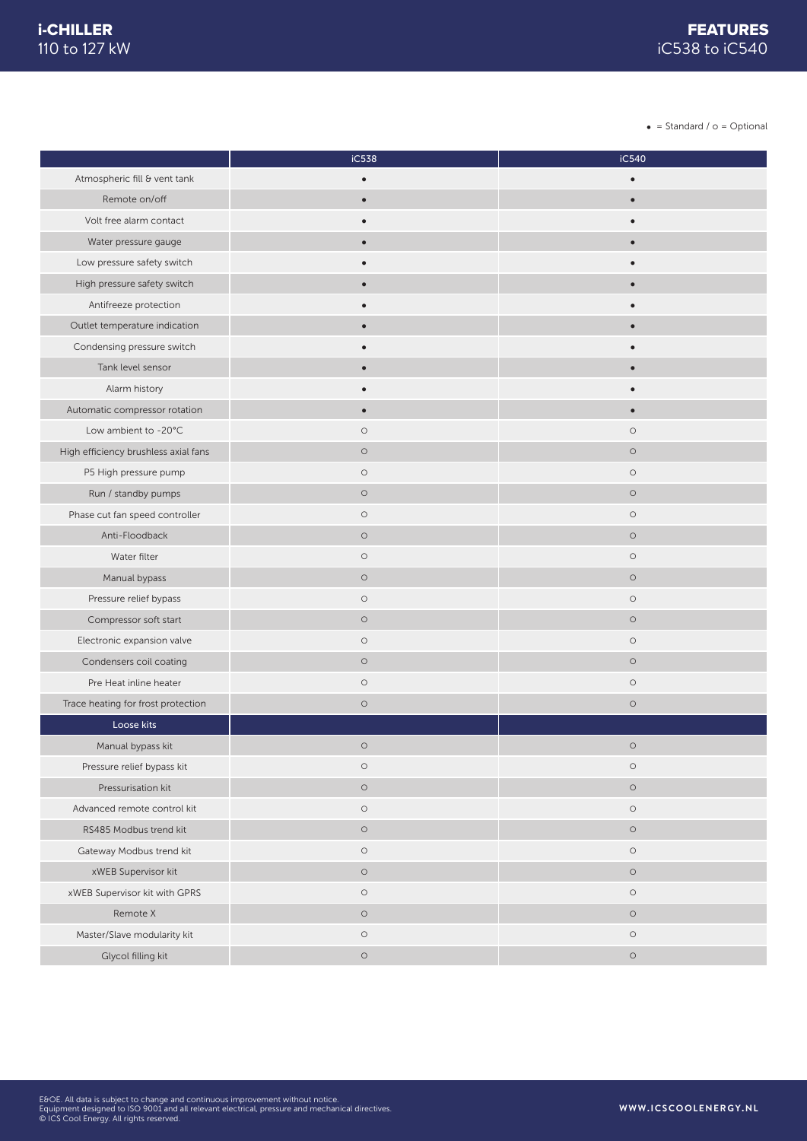$\bullet$  = Standard /  $o$  = Optional

|                                      | iC538     | iC540     |
|--------------------------------------|-----------|-----------|
| Atmospheric fill & vent tank         | $\bullet$ | $\bullet$ |
| Remote on/off                        | $\bullet$ | $\bullet$ |
| Volt free alarm contact              |           |           |
| Water pressure gauge                 | $\bullet$ | $\bullet$ |
| Low pressure safety switch           |           |           |
| High pressure safety switch          | $\bullet$ | $\bullet$ |
| Antifreeze protection                |           |           |
| Outlet temperature indication        |           |           |
| Condensing pressure switch           |           | $\bullet$ |
| Tank level sensor                    | $\bullet$ | $\bullet$ |
| Alarm history                        |           |           |
| Automatic compressor rotation        | $\bullet$ | $\bullet$ |
| Low ambient to -20°C                 | $\circ$   | $\circ$   |
| High efficiency brushless axial fans | $\circ$   | $\circ$   |
| P5 High pressure pump                | $\circ$   | $\circ$   |
| Run / standby pumps                  | $\circ$   | $\circ$   |
| Phase cut fan speed controller       | $\circ$   | $\circ$   |
| Anti-Floodback                       | $\circ$   | $\circ$   |
| Water filter                         | $\circ$   | $\circ$   |
| Manual bypass                        | $\circ$   | $\circ$   |
| Pressure relief bypass               | $\circ$   | $\circ$   |
| Compressor soft start                | $\circ$   | $\circ$   |
| Electronic expansion valve           | $\circ$   | $\circ$   |
| Condensers coil coating              | $\circ$   | $\circ$   |
| Pre Heat inline heater               | $\circ$   | $\circ$   |
| Trace heating for frost protection   | $\circ$   | $\circ$   |
| Loose kits                           |           |           |
| Manual bypass kit                    | $\circ$   | $\circ$   |
| Pressure relief bypass kit           | $\circ$   | $\circ$   |
| Pressurisation kit                   | $\circ$   | $\circ$   |
| Advanced remote control kit          | $\circ$   | $\circ$   |
| RS485 Modbus trend kit               | $\circ$   | $\circ$   |
| Gateway Modbus trend kit             | $\circ$   | $\circ$   |
| xWEB Supervisor kit                  | $\circ$   | $\circ$   |
| xWEB Supervisor kit with GPRS        | $\circ$   | $\circ$   |
| Remote X                             | $\circ$   | $\circ$   |
| Master/Slave modularity kit          | $\circ$   | $\circ$   |
| Glycol filling kit                   | $\circ$   | $\circ$   |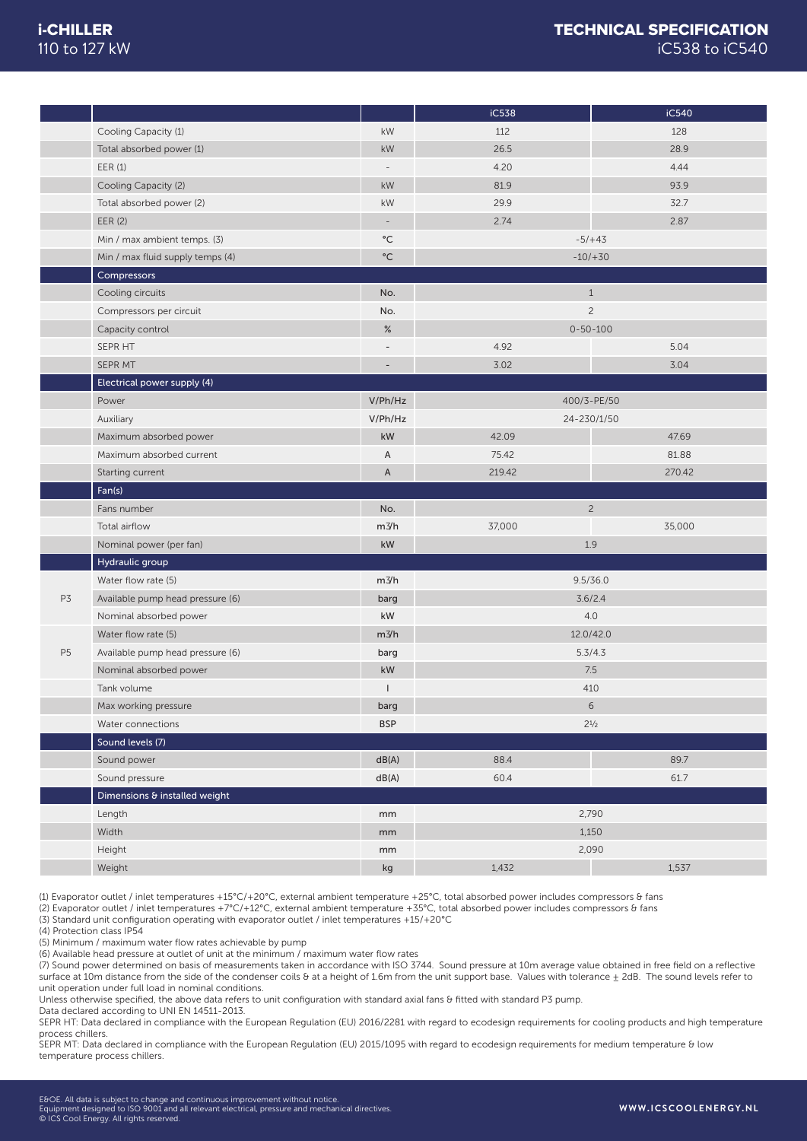### TECHNICAL SPECIFICATION iC538 to iC540

|                |                                  |                          | iC538  | iC540          |
|----------------|----------------------------------|--------------------------|--------|----------------|
|                | Cooling Capacity (1)             | kW                       | 112    | 128            |
|                | Total absorbed power (1)         | kW                       | 26.5   | 28.9           |
|                | EER(1)                           | $\overline{\phantom{a}}$ | 4.20   | 4.44           |
|                | Cooling Capacity (2)             | kW                       | 81.9   | 93.9           |
|                | Total absorbed power (2)         | kW                       | 29.9   | 32.7           |
|                | EER (2)                          | $\overline{\phantom{a}}$ | 2.74   | 2.87           |
|                | Min / max ambient temps. (3)     | $^{\circ}{\rm C}$        |        | $-5/+43$       |
|                | Min / max fluid supply temps (4) | $^{\circ}{\rm C}$        |        | $-10/ + 30$    |
|                | Compressors                      |                          |        |                |
|                | Cooling circuits                 | No.                      |        | $1\,$          |
|                | Compressors per circuit          | No.                      |        | $\overline{c}$ |
|                | Capacity control                 | %                        |        | $0 - 50 - 100$ |
|                | SEPR HT                          | $\overline{a}$           | 4.92   | 5.04           |
|                | SEPR MT                          |                          | 3.02   | 3.04           |
|                | Electrical power supply (4)      |                          |        |                |
|                | Power                            | V/Ph/Hz                  |        | 400/3-PE/50    |
|                | Auxiliary                        | V/Ph/Hz                  |        | 24-230/1/50    |
|                | Maximum absorbed power           | kW                       | 42.09  | 47.69          |
|                | Maximum absorbed current         | A                        | 75.42  | 81.88          |
|                | Starting current                 | $\mathsf A$              | 219.42 | 270.42         |
|                | Fan(s)                           |                          |        |                |
|                | Fans number                      | No.                      |        | $\overline{c}$ |
|                | Total airflow                    | m3/h                     | 37,000 | 35,000         |
|                | Nominal power (per fan)          | kW                       |        | 1.9            |
|                | Hydraulic group                  |                          |        |                |
|                | Water flow rate (5)              | m3/h                     |        | 9.5/36.0       |
| P3             | Available pump head pressure (6) | barg                     |        | 3.6/2.4        |
|                | Nominal absorbed power           | kW                       |        | 4.0            |
|                | Water flow rate (5)              | m3/h                     |        | 12.0/42.0      |
| P <sub>5</sub> | Available pump head pressure (6) | barg                     |        | 5.3/4.3        |
|                | Nominal absorbed power           | kW                       |        | 7.5            |
|                | Tank volume                      |                          |        | 410            |
|                | Max working pressure             | barg                     |        | 6              |
|                | Water connections                | <b>BSP</b>               |        | $2^{1/2}$      |
|                | Sound levels (7)                 |                          |        |                |
|                | Sound power                      | dB(A)                    | 88.4   | 89.7           |
|                | Sound pressure                   | dB(A)                    | 60.4   | 61.7           |
|                | Dimensions & installed weight    |                          |        |                |
|                | Length                           | mm                       |        | 2,790          |
|                | Width                            | mm                       |        | 1,150          |
|                | Height                           | mm                       |        | 2,090          |
|                | Weight                           | kg                       | 1,432  | 1,537          |

(1) Evaporator outlet / inlet temperatures +15°C/+20°C, external ambient temperature +25°C, total absorbed power includes compressors & fans

(2) Evaporator outlet / inlet temperatures +7°C/+12°C, external ambient temperature +35°C, total absorbed power includes compressors & fans

(3) Standard unit configuration operating with evaporator outlet / inlet temperatures +15/+20°C

(4) Protection class IP54

(5) Minimum / maximum water flow rates achievable by pump

(6) Available head pressure at outlet of unit at the minimum / maximum water flow rates

(7) Sound power determined on basis of measurements taken in accordance with ISO 3744. Sound pressure at 10m average value obtained in free field on a reflective surface at 10m distance from the side of the condenser coils & at a height of 1.6m from the unit support base. Values with tolerance + 2dB. The sound levels refer to unit operation under full load in nominal conditions.

Unless otherwise specified, the above data refers to unit configuration with standard axial fans & fitted with standard P3 pump.

Data declared according to UNI EN 14511-2013.

SEPR HT: Data declared in compliance with the European Regulation (EU) 2016/2281 with regard to ecodesign requirements for cooling products and high temperature process chillers.

SEPR MT: Data declared in compliance with the European Regulation (EU) 2015/1095 with regard to ecodesign requirements for medium temperature & low temperature process chillers.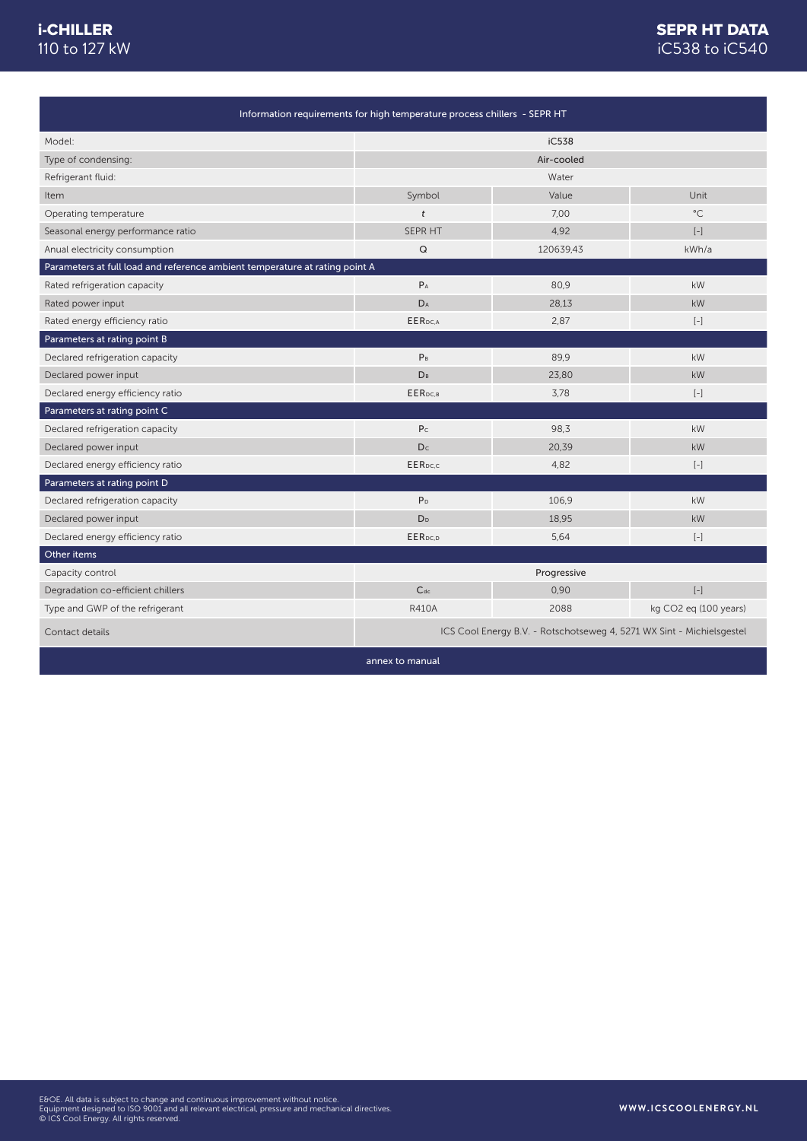## SEPR HT DATA iC538 to iC540

ī

| Information requirements for high temperature process chillers - SEPR HT    |                                                                       |           |                          |
|-----------------------------------------------------------------------------|-----------------------------------------------------------------------|-----------|--------------------------|
| Model:                                                                      | iC538                                                                 |           |                          |
| Type of condensing:                                                         | Air-cooled                                                            |           |                          |
| Refrigerant fluid:                                                          | Water                                                                 |           |                          |
| Item                                                                        | Symbol                                                                | Value     | Unit                     |
| Operating temperature                                                       | $\mathfrak{t}$                                                        | 7.00      | $^{\circ}$ C             |
| Seasonal energy performance ratio                                           | SEPR HT                                                               | 4,92      | $\left[ -\right]$        |
| Anual electricity consumption                                               | $\mathsf Q$                                                           | 120639,43 | kWh/a                    |
| Parameters at full load and reference ambient temperature at rating point A |                                                                       |           |                          |
| Rated refrigeration capacity                                                | $P_A$                                                                 | 80,9      | kW                       |
| Rated power input                                                           | DA                                                                    | 28,13     | kW                       |
| Rated energy efficiency ratio                                               | EER <sub>pc.A</sub>                                                   | 2,87      | $[-]$                    |
| Parameters at rating point B                                                |                                                                       |           |                          |
| Declared refrigeration capacity                                             | P <sub>B</sub>                                                        | 89,9      | kW                       |
| Declared power input                                                        | DB                                                                    | 23,80     | kW                       |
| Declared energy efficiency ratio                                            | EER <sub>DC.B</sub>                                                   | 3,78      | $\left[ -\right]$        |
| Parameters at rating point C                                                |                                                                       |           |                          |
| Declared refrigeration capacity                                             | P <sub>c</sub>                                                        | 98,3      | kW                       |
| Declared power input                                                        | D <sub>c</sub>                                                        | 20,39     | kW                       |
| Declared energy efficiency ratio                                            | EER <sub>pc.c</sub>                                                   | 4,82      | $[-]$                    |
| Parameters at rating point D                                                |                                                                       |           |                          |
| Declared refrigeration capacity                                             | P <sub>D</sub>                                                        | 106,9     | kW                       |
| Declared power input                                                        | D <sub>D</sub>                                                        | 18,95     | kW                       |
| Declared energy efficiency ratio                                            | EER <sub>DC,D</sub>                                                   | 5,64      | $\left[ -\right]$        |
| Other items                                                                 |                                                                       |           |                          |
| Capacity control                                                            | Progressive                                                           |           |                          |
| Degradation co-efficient chillers                                           | $C_{dc}$                                                              | 0,90      | $\left[ \, - \, \right]$ |
| Type and GWP of the refrigerant                                             | <b>R410A</b>                                                          | 2088      | kg CO2 eq (100 years)    |
| Contact details                                                             | ICS Cool Energy B.V. - Rotschotseweg 4, 5271 WX Sint - Michielsgestel |           |                          |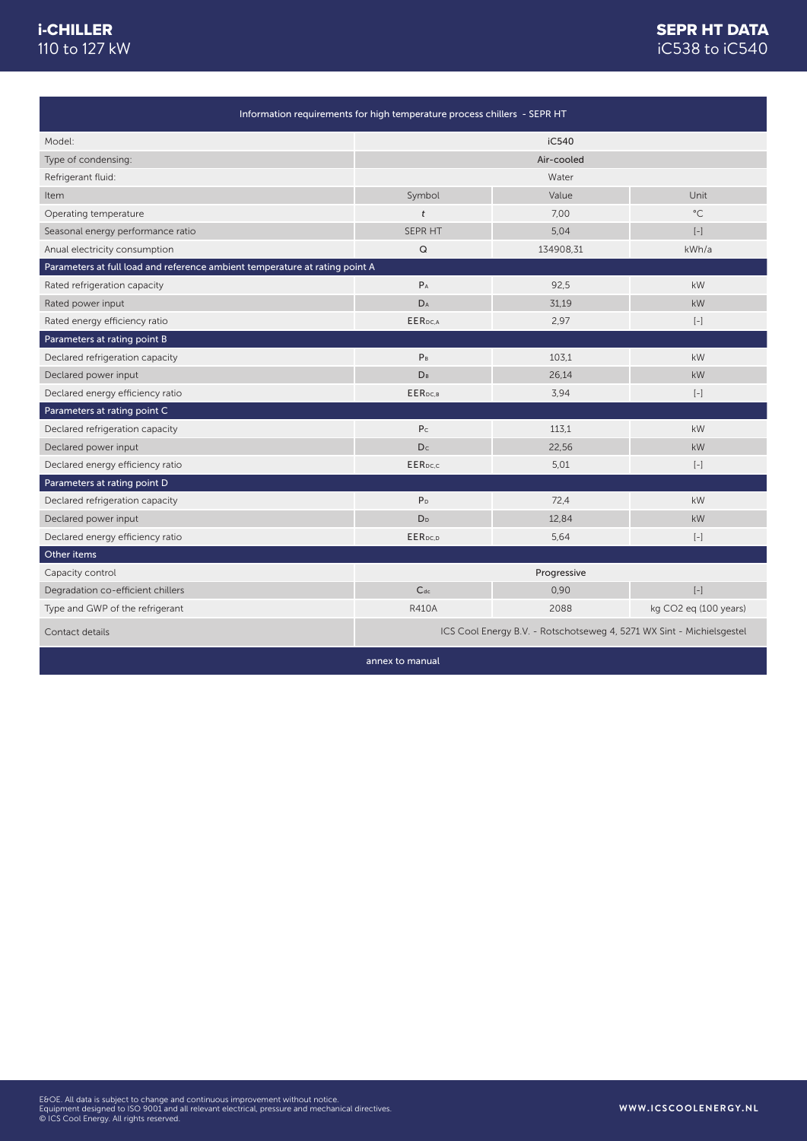## iC538 to iC540 SEPR HT DATA

| Information requirements for high temperature process chillers - SEPR HT    |                                                                       |           |                          |
|-----------------------------------------------------------------------------|-----------------------------------------------------------------------|-----------|--------------------------|
| Model:                                                                      | iC540                                                                 |           |                          |
| Type of condensing:                                                         | Air-cooled                                                            |           |                          |
| Refrigerant fluid:                                                          | Water                                                                 |           |                          |
| Item                                                                        | Symbol                                                                | Value     | Unit                     |
| Operating temperature                                                       | $\mathfrak{t}$                                                        | 7,00      | $^{\circ}$ C             |
| Seasonal energy performance ratio                                           | SEPR HT                                                               | 5,04      | $\left[ -\right]$        |
| Anual electricity consumption                                               | Q                                                                     | 134908,31 | kWh/a                    |
| Parameters at full load and reference ambient temperature at rating point A |                                                                       |           |                          |
| Rated refrigeration capacity                                                | $P_A$                                                                 | 92,5      | kW                       |
| Rated power input                                                           | DA                                                                    | 31,19     | kW                       |
| Rated energy efficiency ratio                                               | EER <sub>pc.A</sub>                                                   | 2.97      | $\left[ -\right]$        |
| Parameters at rating point B                                                |                                                                       |           |                          |
| Declared refrigeration capacity                                             | P <sub>B</sub>                                                        | 103.1     | kW                       |
| Declared power input                                                        | <b>D</b> <sub>B</sub>                                                 | 26,14     | kW                       |
| Declared energy efficiency ratio                                            | EER <sub>DC.B</sub>                                                   | 3,94      | $\left[ -\right]$        |
| Parameters at rating point C                                                |                                                                       |           |                          |
| Declared refrigeration capacity                                             | P <sub>c</sub>                                                        | 113,1     | kW                       |
| Declared power input                                                        | Dc                                                                    | 22,56     | kW                       |
| Declared energy efficiency ratio                                            | EER <sub>pc.c</sub>                                                   | 5,01      | $\left[ -\right]$        |
| Parameters at rating point D                                                |                                                                       |           |                          |
| Declared refrigeration capacity                                             | P <sub>D</sub>                                                        | 72.4      | kW                       |
| Declared power input                                                        | D <sub>D</sub>                                                        | 12.84     | kW                       |
| Declared energy efficiency ratio                                            | EERpc.p                                                               | 5,64      | $[-]$                    |
| Other items                                                                 |                                                                       |           |                          |
| Capacity control                                                            | Progressive                                                           |           |                          |
| Degradation co-efficient chillers                                           | $C_{dc}$                                                              | 0,90      | $\left[ \, - \, \right]$ |
| Type and GWP of the refrigerant                                             | <b>R410A</b>                                                          | 2088      | kg CO2 eq (100 years)    |
| Contact details                                                             | ICS Cool Energy B.V. - Rotschotseweg 4, 5271 WX Sint - Michielsgestel |           |                          |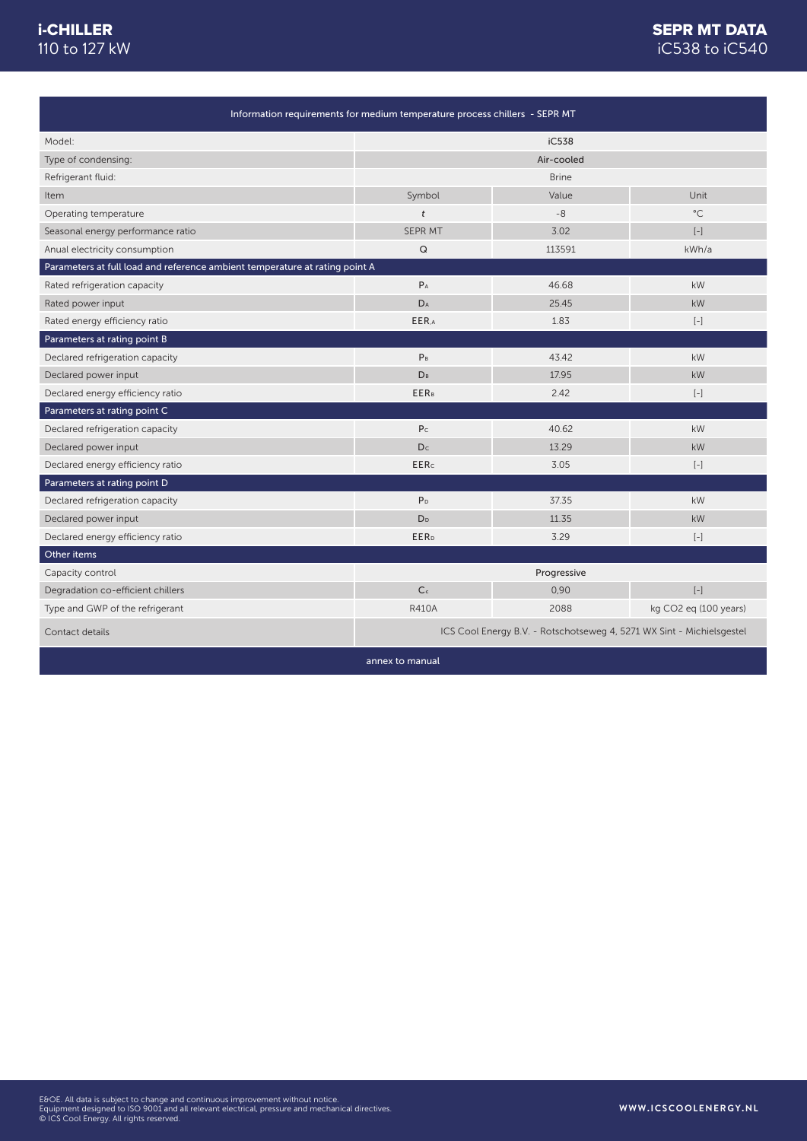## SEPR MT DATA iC538 to iC540

| Information requirements for medium temperature process chillers - SEPR MT  |                                                                                                                                                                                                                                                                                                                                                    |        |                       |
|-----------------------------------------------------------------------------|----------------------------------------------------------------------------------------------------------------------------------------------------------------------------------------------------------------------------------------------------------------------------------------------------------------------------------------------------|--------|-----------------------|
| Model:                                                                      |                                                                                                                                                                                                                                                                                                                                                    | iC538  |                       |
| Type of condensing:                                                         | Air-cooled                                                                                                                                                                                                                                                                                                                                         |        |                       |
| Refrigerant fluid:                                                          | <b>Brine</b>                                                                                                                                                                                                                                                                                                                                       |        |                       |
| Item                                                                        | Symbol                                                                                                                                                                                                                                                                                                                                             | Value  | Unit                  |
| Operating temperature                                                       | $\mathbf{t}$                                                                                                                                                                                                                                                                                                                                       | $-8$   | $^{\circ}$ C          |
| Seasonal energy performance ratio                                           | SEPR MT                                                                                                                                                                                                                                                                                                                                            | 3.02   | $\left[ -\right]$     |
| Anual electricity consumption                                               | $\mathsf Q$                                                                                                                                                                                                                                                                                                                                        | 113591 | kWh/a                 |
| Parameters at full load and reference ambient temperature at rating point A |                                                                                                                                                                                                                                                                                                                                                    |        |                       |
| Rated refrigeration capacity                                                | $P_A$                                                                                                                                                                                                                                                                                                                                              | 46.68  | kW                    |
| Rated power input                                                           | $\mathsf{D}_\mathsf{A}$                                                                                                                                                                                                                                                                                                                            | 25.45  | kW                    |
| Rated energy efficiency ratio                                               | EER,A                                                                                                                                                                                                                                                                                                                                              | 1.83   | $[-]$                 |
| Parameters at rating point B                                                |                                                                                                                                                                                                                                                                                                                                                    |        |                       |
| Declared refrigeration capacity                                             | P <sub>B</sub>                                                                                                                                                                                                                                                                                                                                     | 43.42  | kW                    |
| Declared power input                                                        | <b>DB</b>                                                                                                                                                                                                                                                                                                                                          | 17.95  | <b>kW</b>             |
| Declared energy efficiency ratio                                            | <b>EERB</b>                                                                                                                                                                                                                                                                                                                                        | 2.42   | $[-]$                 |
| Parameters at rating point C                                                |                                                                                                                                                                                                                                                                                                                                                    |        |                       |
| Declared refrigeration capacity                                             | P <sub>C</sub>                                                                                                                                                                                                                                                                                                                                     | 40.62  | kW                    |
| Declared power input                                                        | Dc                                                                                                                                                                                                                                                                                                                                                 | 13.29  | <b>kW</b>             |
| Declared energy efficiency ratio                                            | <b>EERc</b>                                                                                                                                                                                                                                                                                                                                        | 3.05   | $\left[ -\right]$     |
| Parameters at rating point D                                                |                                                                                                                                                                                                                                                                                                                                                    |        |                       |
| Declared refrigeration capacity                                             | P <sub>D</sub>                                                                                                                                                                                                                                                                                                                                     | 37.35  | kW                    |
| Declared power input                                                        | D <sub>D</sub>                                                                                                                                                                                                                                                                                                                                     | 11.35  | kW                    |
| Declared energy efficiency ratio                                            | <b>EER</b> <sub>D</sub>                                                                                                                                                                                                                                                                                                                            | 3.29   | $[-]$                 |
| Other items                                                                 |                                                                                                                                                                                                                                                                                                                                                    |        |                       |
| Capacity control                                                            | Progressive                                                                                                                                                                                                                                                                                                                                        |        |                       |
| Degradation co-efficient chillers                                           | C <sub>c</sub><br>$\left[ -\right] % \begin{minipage}[b]{.45\linewidth} \centering \includegraphics[width=\textwidth]{figs/fig_4} \caption{The number of times in the left and right.} \label{fig:fig_4} \end{minipage} \vspace{0.05\linewidth} \vspace{0.05\linewidth} \vspace{0.05\linewidth} \vspace{0.05\linewidth} \label{fig:fig_4}$<br>0,90 |        |                       |
| Type and GWP of the refrigerant                                             | <b>R410A</b>                                                                                                                                                                                                                                                                                                                                       | 2088   | kg CO2 eq (100 years) |
| Contact details                                                             | ICS Cool Energy B.V. - Rotschotseweg 4, 5271 WX Sint - Michielsgestel                                                                                                                                                                                                                                                                              |        |                       |